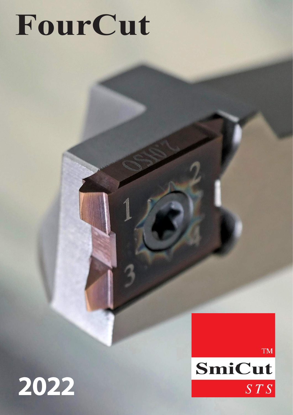# **FourCut**



**TM** 

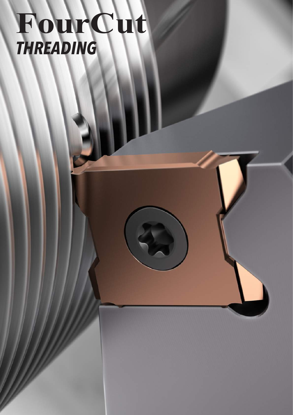## **FourCut**  *THREADING*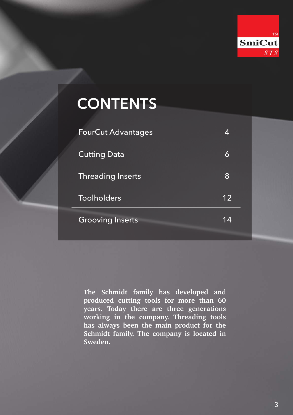

### <span id="page-2-0"></span>**CONTENTS**

| <b>FourCut Advantages</b> | 4  |
|---------------------------|----|
| <b>Cutting Data</b>       | 6  |
| <b>Threading Inserts</b>  | 8  |
| <b>Toolholders</b>        | 12 |
| <b>Grooving Inserts</b>   | 14 |

**The Schmidt family has developed and produced cutting tools for more than 60 years. Today there are three generations working in the company. Threading tools has always been the main product for the Schmidt family. The company is located in Sweden.**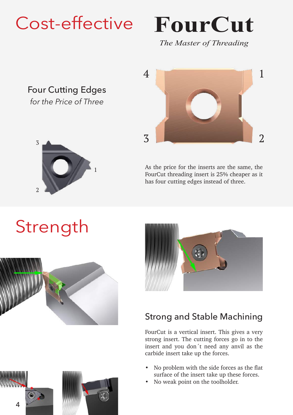## <span id="page-3-0"></span>Cost-effective

## **FourCut**

*The Master of Threading*

#### Four Cutting Edges *for the Price of Three*



## 1 3 2 4

As the price for the inserts are the same, the FourCut threading insert is 25% cheaper as it has four cutting edges instead of three.







#### Strong and Stable Machining

FourCut is a vertical insert. This gives a very strong insert. The cutting forces go in to the insert and you don´t need any anvil as the carbide insert take up the forces.

- No problem with the side forces as the flat surface of the insert take up these forces.
- No weak point on the toolholder.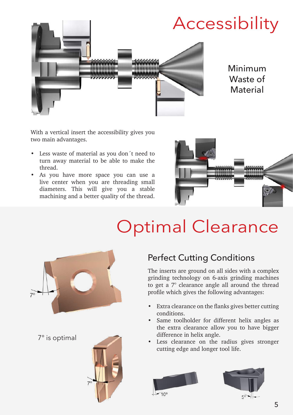

With a vertical insert the accessibility gives you two main advantages.

- Less waste of material as you don't need to turn away material to be able to make the thread.
- As you have more space you can use a live center when you are threading small diameters. This will give you a stable machining and a better quality of the thread.



## Optimal Clearance



7° is optimal



#### Perfect Cutting Conditions

The inserts are ground on all sides with a complex grinding technology on 6-axis grinding machines to get a 7° clearance angle all around the thread profile which gives the following advantages:

- Extra clearance on the flanks gives better cutting conditions.
- Same toolholder for different helix angles as the extra clearance allow you to have bigger difference in helix angle.
- Less clearance on the radius gives stronger cutting edge and longer tool life.





 $50 - 1$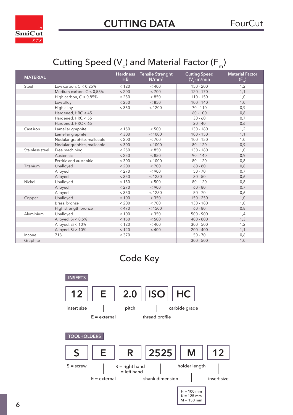<span id="page-5-0"></span>

### Cutting Speed (V ) and Material Factor (F  $_{\rm m}$ )

| <b>MATERIAL</b> |                             | <b>Hardness</b><br>HB | <b>Tensile Strenght</b><br>$N/mm^2$ | <b>Cutting Speed</b><br>$(V_{c})$ m/min | <b>Material Factor</b><br>$(F_n)$ |
|-----------------|-----------------------------|-----------------------|-------------------------------------|-----------------------------------------|-----------------------------------|
| Steel           | Low carbon, $C < 0.25%$     | < 120                 | < 400                               | $150 - 200$                             | 1,2                               |
|                 | Medium carbon, C < 0,55%    | < 200                 | < 700                               | $120 - 170$                             | 1,1                               |
|                 | High carbon, $C < 0.85\%$   | < 250                 | < 850                               | $110 - 150$                             | 1,0                               |
|                 | Low alloy                   | < 250                 | < 850                               | $100 - 140$                             | 1,0                               |
|                 | High alloy                  | < 350                 | < 1200                              | $70 - 110$                              | 0,9                               |
|                 | Hardened, HRC < 45          |                       |                                     | $60 - 100$                              | 0,8                               |
|                 | Hardened, HRC < 55          |                       |                                     | $30 - 60$                               | 0,7                               |
|                 | Hardened, HRC < 65          |                       |                                     | $20 - 40$                               | 0,6                               |
| Cast iron       | Lamellar graphite           | < 150                 | < 500                               | $130 - 180$                             | 1,2                               |
|                 | Lamellar graphite           | < 300                 | < 1000                              | $100 - 150$                             | 1,1                               |
|                 | Nodular graphite, malleable | < 200                 | < 700                               | $100 - 150$                             | 1,0                               |
|                 | Nodular graphite, malleable | < 300                 | < 1000                              | $80 - 120$                              | 0,9                               |
| Stainless steel | Free machining              | < 250                 | < 850                               | $130 - 180$                             | 1,0                               |
|                 | Austenitic                  | < 250                 | < 850                               | $90 - 140$                              | 0,9                               |
|                 | Ferritic and austenitic     | < 300                 | < 1000                              | $80 - 120$                              | 0,8                               |
| Titanium        | Unalloyed                   | < 200                 | < 700                               | $60 - 80$                               | 0,8                               |
|                 | Alloyed                     | < 270                 | < 900                               | $50 - 70$                               | 0,7                               |
|                 | Alloyed                     | < 350                 | < 1250                              | $30 - 50$                               | 0,6                               |
| Nickel          | Unalloyed                   | < 150                 | < 500                               | $80 - 120$                              | 0,8                               |
|                 | Alloyed                     | < 270                 | < 900                               | $60 - 80$                               | 0,7                               |
|                 | Alloyed                     | < 350                 | < 1250                              | $50 - 70$                               | 0,6                               |
| Copper          | Unalloyed                   | < 100                 | < 350                               | $150 - 250$                             | 1,0                               |
|                 | Brass, bronze               | < 200                 | < 700                               | $130 - 180$                             | 1,0                               |
|                 | High strength bronze        | < 470                 | < 1500                              | $60 - 80$                               | 0,8                               |
| Aluminium       | Unalloyed                   | < 100                 | < 350                               | $500 - 900$                             | 1,4                               |
|                 | Alloyed, Si < 0.5%          | < 150                 | < 500                               | $400 - 800$                             | 1,3                               |
|                 | Alloyed, Si < 10%           | < 120                 | < 400                               | $300 - 500$                             | 1,2                               |
|                 | Alloyed, Si > 10%           | < 120                 | < 400                               | $200 - 400$                             | 1,1                               |
| Inconel         | 718                         | < 370                 |                                     | $50 - 70$                               | 0,6                               |
| Graphite        |                             |                       |                                     | $300 - 500$                             | 1,0                               |



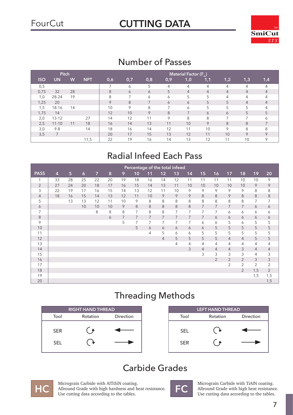### FourCut **[CUTTING DATA](#page-2-0)**



#### Number of Passes

|            | Pitch     |    |            |     |     |     |                          | <b>Material Factor (F<sub>m</sub>)</b> |                |                |                |         |
|------------|-----------|----|------------|-----|-----|-----|--------------------------|----------------------------------------|----------------|----------------|----------------|---------|
| <b>ISO</b> | <b>UN</b> | W  | <b>NPT</b> | 0,6 | 0,7 | 0,8 | 0,9                      | 1,0                                    | 1,1            | 1,2            | 1,3            | 1,4     |
| 0,5        |           |    |            |     | 6   | 5   | 4                        | 4                                      | 4              | 4              | 4              |         |
| 0,75       | 32        | 28 |            | 8   | 6   | 6   | 5                        | $\overline{4}$                         | $\overline{4}$ | $\overline{4}$ | 4              | 4       |
| 1,0        | 28-24     | 19 |            | 8   | ⇁   | 6   | 6                        | 5                                      | 5              | 4              | 4              | 4       |
| 1,25       | 20        |    |            | 9   | 8   |     | 6                        | 6                                      | 5              | 5              | 4              | 4       |
| 1,5        | 18-16     | 14 |            | 10  | 9   | 8   | $\overline{\phantom{a}}$ | 6                                      | 5              | 5              | 5              |         |
| 1,75       | 14        |    |            | 12  | 10  | 9   | 8                        | 7                                      | 6              | 6              | 5              | 5       |
| 2,0        | $13 - 12$ |    | 27         | 14  | 12  | 11  | 9                        | 8                                      | 8              | $\overline{7}$ | $\overline{ }$ | Α       |
| 2,5        | $11 - 10$ | 11 | 18         | 16  | 14  | 13  | 11                       | 10                                     | 9              | 8              | 8              |         |
| 3,0        | $9 - 8$   |    | 14         | 18  | 16  | 14  | 12                       | 11                                     | 10             | $\circ$        | 8              | 8       |
| 3,5        | ⇁         |    |            | 20  | 17  | 15  | 13                       | 12                                     | 11             | 10             | 9              | $\circ$ |
|            |           |    | 11,5       | 22  | 19  | 16  | 14                       | 13                                     | 12             | 11             | 10             | $\circ$ |

#### Radial Infeed Each Pass

|              |                |    |            |                |    |    |                |                | Percentage of the total infeed |                |                |                |                |                |                |                |                |
|--------------|----------------|----|------------|----------------|----|----|----------------|----------------|--------------------------------|----------------|----------------|----------------|----------------|----------------|----------------|----------------|----------------|
| <b>PASS</b>  | $\overline{4}$ | 5  | $\epsilon$ | $\overline{7}$ | 8  | 9  | 10             | 11             | 12                             | 13             | 14             | 15             | 16             | 17             | 18             | 19             | 20             |
| $\mathbf{1}$ | 33             | 28 | 25         | 22             | 20 | 19 | 18             | 16             | 14                             | 12             | 11             | 11             | 11             | 11             | 10             | 10             | 9              |
| 2            | 27             | 24 | 20         | 18             | 17 | 16 | 15             | 14             | 13                             | 11             | 10             | 10             | 10             | 10             | 10             | 9              | 9              |
| 3            | 22             | 19 | 17         | 16             | 15 | 14 | 13             | 12             | 11                             | 10             | 9              | 9              | 9              | 9              | 9              | 8              | 8              |
| 4            | 18             | 16 | 15         | 14             | 13 | 12 | 11             | 10             | 9                              | 9              | 9              | 8              | 8              | 9              | 8              | $\,8\,$        | 8              |
| 5            |                | 13 | 13         | 12             | 11 | 10 | 9              | 8              | 8                              | 8              | 8              | 8              | 8              | 8              | 8              | $\overline{7}$ | $\overline{7}$ |
| 6            |                |    | 10         | 10             | 10 | 9  | 8              | 8              | 8                              | 8              | 8              | $\overline{7}$ | $\overline{7}$ | $\overline{7}$ | $\overline{7}$ | 6              | 6              |
| 7            |                |    |            | 8              | 8  | 8  | 7              | 8              | 8                              | 7              | $\overline{7}$ | $\overline{7}$ | $\overline{7}$ | 6              | 6              | 6              | 6              |
| 8            |                |    |            |                | 6  | 7  | $\overline{7}$ | $\overline{7}$ | $\overline{7}$                 | $\overline{7}$ | $\overline{7}$ | $\overline{7}$ | 6              | 6              | 6              | 6              | 6              |
| 9            |                |    |            |                |    | 5  | 7              | 7              | 7                              | 7              | 7              | 6              | 6              | 5              | 6              | 5              | 5              |
| 10           |                |    |            |                |    |    | 5              | 6              | 6                              | 6              | 6              | 6              | 5              | 5              | 5              | 5              | 5              |
| 11           |                |    |            |                |    |    |                | 4              | 5                              | 6              | 6              | 5              | 5              | 5              | 5              | 5              | 5              |
| 12           |                |    |            |                |    |    |                |                | 4                              | 5              | 5              | 5              | 5              | $\overline{4}$ | $\overline{4}$ | 5              | 5              |
| 13           |                |    |            |                |    |    |                |                |                                | 4              | 4              | 4              | 4              | 4              | 4              | 4              | 4              |
| 14           |                |    |            |                |    |    |                |                |                                |                | 3              | $\overline{4}$ | $\overline{4}$ | $\overline{4}$ | 3              | $\overline{4}$ | $\overline{4}$ |
| 15           |                |    |            |                |    |    |                |                |                                |                |                | 3              | 3              | 3              | 3              | 4              | 3              |
| 16           |                |    |            |                |    |    |                |                |                                |                |                |                | $\overline{2}$ | $\overline{2}$ | $\overline{2}$ | 3              | 3              |
| 17           |                |    |            |                |    |    |                |                |                                |                |                |                |                | 2              | $\overline{2}$ | 2              | 2              |
| 18           |                |    |            |                |    |    |                |                |                                |                |                |                |                |                | 2              | 1,5            | $\overline{2}$ |
| 19           |                |    |            |                |    |    |                |                |                                |                |                |                |                |                |                | 1,5            | 1,5            |
| 20           |                |    |            |                |    |    |                |                |                                |                |                |                |                |                |                |                | 1,5            |

#### Threading Methods

|            | <b>RIGHT HAND THREAD</b> |                  |            | <b>LEFT HAND THREAD</b> |           |
|------------|--------------------------|------------------|------------|-------------------------|-----------|
| Tool       | Rotation                 | <b>Direction</b> | Tool       | Rotation                | Direction |
| <b>SER</b> |                          |                  | <b>SEL</b> |                         |           |
| <b>SEL</b> |                          |                  | <b>SER</b> |                         |           |

#### Carbide Grades



Micrograin Carbide with AlTiSiN coating.<br>
Allround Grade with high hardness and heat resistance.<br>
Use cutting data according to the tables Use cutting data according to the tables.



Micrograin Carbide with TiAlN coating.<br>
Allround Grade with high heat resistance.<br>
Use cutting data according to the tables Use cutting data according to the tables.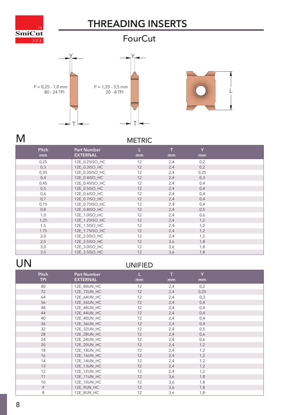<span id="page-7-0"></span>

#### **FourCut**





#### M METRIC

| <b>Pitch</b> | <b>Part Number</b> |    |     | Y    |  |
|--------------|--------------------|----|-----|------|--|
| mm           | <b>EXTERNAL</b>    | mm | mm  | mm   |  |
| 0,25         | 12E_0.25ISO_HC     | 12 | 2,4 | 0,2  |  |
| 0,3          | 12E_0.3ISO_HC      | 12 | 2,4 | 0,2  |  |
| 0,35         | 12E_0.35ISO_HC     | 12 | 2,4 | 0,25 |  |
| 0,4          | 12E_0.4ISO_HC      | 12 | 2,4 | 0,3  |  |
| 0,45         | 12E_0.45ISO_HC     | 12 | 2,4 | 0,4  |  |
| 0,5          | 12E_0.5ISO_HC      | 12 | 2,4 | 0,4  |  |
| 0,6          | 12E_0.6ISO_HC      | 12 | 2,4 | 0,4  |  |
| 0,7          | 12E_0.7ISO_HC      | 12 | 2,4 | 0,4  |  |
| 0,75         | 12E_0.75ISO_HC     | 12 | 2,4 | 0,4  |  |
| 0,8          | 12E_0.8ISO_HC      | 12 | 2,4 | 0,5  |  |
| 1,0          | 12E_1.0ISO_HC      | 12 | 2,4 | 0,6  |  |
| 1,25         | 12E_1.25ISO_HC     | 12 | 2,4 | 1,2  |  |
| 1,5          | 12E_1.5ISO_HC      | 12 | 2,4 | 1,2  |  |
| 1,75         | 12E_1.75ISO_HC     | 12 | 2,4 | 1,2  |  |
| 2,0          | 12E_2.0ISO_HC      | 12 | 2,4 | 1,2  |  |
| 2,5          | 12E_2.5ISO_HC      | 12 | 3,6 | 1,8  |  |
| 3,0          | 12E_3.0ISO_HC      | 12 | 3,6 | 1,8  |  |
| 3,5          | 12E_3.5ISO_HC      | 12 | 3,6 | 1,8  |  |

### UN UNIFIED

| <b>Pitch</b><br><b>TPI</b> | <b>Part Number</b><br><b>EXTERNAL</b> | L<br>mm | т<br>mm | Y<br>mm |  |
|----------------------------|---------------------------------------|---------|---------|---------|--|
|                            |                                       |         |         |         |  |
| 80                         | 12E_80UN_HC                           | 12      | 2,4     | 0,2     |  |
| 72                         | 12E_72UN_HC                           | 12      | 2,4     | 0,25    |  |
| 64                         | 12E_64UN_HC                           | 12      | 2,4     | 0,3     |  |
| 56                         | 12E_56UN_HC                           | 12      | 2,4     | 0,4     |  |
| 48                         | 12E_48UN_HC                           | 12      | 2,4     | 0,4     |  |
| 44                         | 12E_44UN_HC                           | 12      | 2,4     | 0,4     |  |
| 40                         | 12E_40UN_HC                           | 12      | 2,4     | 0,4     |  |
| 36                         | 12E_36UN_HC                           | 12      | 2,4     | 0,4     |  |
| 32                         | 12E_32UN_HC                           | 12      | 2,4     | 0,5     |  |
| 28                         | 12E_28UN_HC                           | 12      | 2,4     | 0,6     |  |
| 24                         | 12E_24UN_HC                           | 12      | 2,4     | 0,6     |  |
| 20                         | 12E_20UN_HC                           | 12      | 2,4     | 1,2     |  |
| 18                         | 12E_18UN_HC                           | 12      | 2,4     | 1,2     |  |
| 16                         | 12E_16UN_HC                           | 12      | 2,4     | 1,2     |  |
| 14                         | 12E_14UN_HC                           | 12      | 2,4     | 1,2     |  |
| 13                         | 12E_13UN_HC                           | 12      | 2,4     | 1,2     |  |
| 12                         | 12E_12UN_HC                           | 12      | 2,4     | 1,2     |  |
| 11                         | 12E_11UN_HC                           | 12      | 3,6     | 1,8     |  |
| 10                         | 12E_10UN_HC                           | 12      | 3,6     | 1,8     |  |
| 9                          | 12E_9UN_HC                            | 12      | 3,6     | 1,8     |  |
| 8                          | 12E_8UN_HC                            | 12      | 3,6     | 1,8     |  |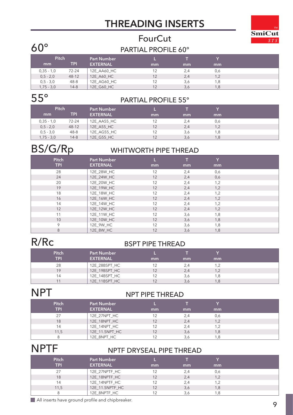## **[SmiCut](#page-2-0)**

#### **FourCut** 60° PARTIAL PROFILE 60°

| Pitch        |           | <b>Part Number</b> |    |     |     |  |
|--------------|-----------|--------------------|----|-----|-----|--|
| mm           | TPI       | <b>EXTERNAL</b>    | mm | mm  | mm  |  |
| $0,35 - 1,0$ | $72 - 24$ | 12E AA60 HC        |    | 2,4 | 0,6 |  |
| $0.5 - 2.0$  | $48 - 12$ | 12E A60 HC         |    | 2,4 | 1,2 |  |
| $0.5 - 3.0$  | $48 - 8$  | 12E AG60 HC        |    | 3,6 | 1,8 |  |
| $1,75 - 3,0$ | $14-8$    | 12E G60 HC         |    | 3,6 | 1,8 |  |

#### 55° PARTIAL PROFILE 55°

| Pitch        |           | <b>Part Number</b> |    |     |     |  |
|--------------|-----------|--------------------|----|-----|-----|--|
| mm           | TPI       | <b>EXTERNAL</b>    | mm | mm  | mm  |  |
| $0,35 - 1,0$ | $72 - 24$ | 12E AA55 HC        |    | 2,4 | 0,6 |  |
| $0,5 - 2,0$  | $48 - 12$ | 12E A55 HC         | 12 | 2,4 | 1,2 |  |
| $0.5 - 3.0$  | $48 - 8$  | 12E_AG55_HC        | 12 | 3,6 | 1,8 |  |
| $1,75 - 3,0$ | $14 - 8$  | 12E G55 HC         | 12 | 3,6 | 1.8 |  |

#### BS/G/Rp WHITWORTH PIPE THREAD

| <b>Pitch</b><br><b>TPI</b> | <b>Part Number</b><br><b>EXTERNAL</b> | mm | mm  | Y<br>mm |  |
|----------------------------|---------------------------------------|----|-----|---------|--|
| 28                         | 12E_28W_HC                            | 12 | 2,4 | 0,6     |  |
| 24                         | 12E 24W HC                            | 12 | 2,4 | 0,6     |  |
| 20                         | 12E_20W_HC                            | 12 | 2,4 | 1,2     |  |
| 19                         | 12E_19W_HC                            | 12 | 2,4 | 1,2     |  |
| 18                         | 12E_18W_HC                            | 12 | 2,4 | 1,2     |  |
| 16                         | 12E_16W_HC                            | 12 | 2,4 | 1,2     |  |
| 14                         | 12E_14W_HC                            | 12 | 2,4 | 1,2     |  |
| 12                         | 12E_12W_HC                            | 12 | 2,4 | 1,2     |  |
| 11                         | 12E_11W_HC                            | 12 | 3,6 | 1,8     |  |
| 10                         | 12E_10W_HC                            | 12 | 3,6 | 1,8     |  |
| 9                          | 12E_9W_HC                             | 12 | 3,6 | 1,8     |  |
| 8                          | 12E 8W HC                             | 12 | 3,6 | 1,8     |  |

#### R/RC BSPT PIPE THREAD

| <b>Pitch</b><br><b>TPI</b> | <b>Part Number</b><br><b>EXTERNAL</b> | mm | mm  | mm  |
|----------------------------|---------------------------------------|----|-----|-----|
| 28                         | 12E_28BSPT_HC                         |    |     |     |
| 19                         | 12E_19BSPT_HC                         |    | 2,4 | 1,2 |
| 14                         | 12E 14BSPT HC                         |    | 3,6 | 1.8 |
| 11                         | 12E_11BSPT_HC                         |    | 3,6 |     |

#### NPT NPT PIPE THREAD

| <b>Pitch</b><br><b>TPI</b> | <b>Part Number</b><br><b>EXTERNAL</b> | mm | mm  | mm  |  |
|----------------------------|---------------------------------------|----|-----|-----|--|
| 27                         | 12E_27NPT_HC                          |    | 2,4 | 0,6 |  |
| 18                         | 12E_18NPT_HC                          |    | 2,4 | 1,2 |  |
| 14                         | 12E 14NPT HC                          |    | 2,4 | 1.2 |  |
| 11,5                       | 12E_11.5NPT_HC                        |    | 3,6 | 1,8 |  |
|                            | 12E_8NPT_HC                           |    |     |     |  |

### NPTF NPTF DRYSEAL PIPE THREAD

| <b>Pitch</b><br><b>TPI</b> | <b>Part Number</b><br><b>EXTERNAL</b> | mm | mm  | mm  |  |
|----------------------------|---------------------------------------|----|-----|-----|--|
| 27                         | 12E 27NPTF HC                         |    |     | 0,6 |  |
| 18                         | 12E 18NPTF HC                         | 12 | 2,4 | 1,2 |  |
| 14                         | 12E 14NPTF HC                         | 12 | 2.4 | 1.2 |  |
| 11,5                       | 12E 11.5NPTF HC                       | 12 | 3,6 | 1,8 |  |
| 8                          | 12E_8NPTF_HC                          |    |     | 1.8 |  |

All inserts have ground profile and chipbreaker.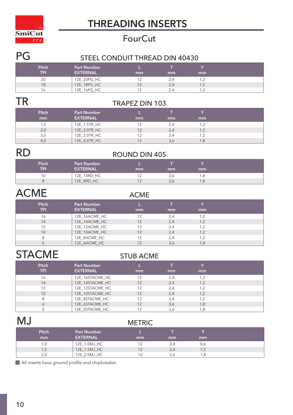

#### **FourCut**

#### PG STEEL CONDUIT THREAD DIN 40430

| <b>Pitch</b><br>TPI | <b>Part Number</b><br><b>EXTERNAL</b> | mm | mm  | mm         |  |
|---------------------|---------------------------------------|----|-----|------------|--|
| 20                  | 12E_20PG_HC                           |    |     | 2. ا       |  |
| 18                  | 12E_18PG_HC                           |    | 2,4 | 1,2        |  |
| 16                  | 12E_16PG_HC                           |    |     | . <u>.</u> |  |

### TR TRAPEZ DIN 103

| <b>Pitch</b><br>mm | <b>Part Number</b><br><b>EXTERNAL</b> | mm | mm  | mm  |  |
|--------------------|---------------------------------------|----|-----|-----|--|
| 1,5                | 12E_1.5TR_HC                          |    | 2,4 | 1,2 |  |
| 2,0                | 12E_2.0TR_HC                          |    | 2,4 | 1,2 |  |
| 3,0                | 12E_3.0TR_HC                          |    | 2,4 | 1,2 |  |
| 4.0                | 12E_4.0TR_HC                          |    | 3.6 | 1,8 |  |

### RD ROUND DIN 405

| Pitch<br>TPI | <b>Part Number</b><br><b>EXTERNAL</b> | mm | mm | mm  |  |
|--------------|---------------------------------------|----|----|-----|--|
| 10           | 12E_10RD_HC                           |    |    | .8  |  |
|              | 12E_8RD_HC                            |    |    | 1,8 |  |

### ACME ACME

| Pitch<br><b>TPI</b> | <b>Part Number</b><br><b>EXTERNAL</b> | mm | mm  | mm  |
|---------------------|---------------------------------------|----|-----|-----|
| 16                  | 12E_16ACME_HC                         | 12 |     | 1.2 |
| 14                  | 12E_14ACME_HC                         | 12 | 2,4 | 1,2 |
| 12                  | 12E_12ACME_HC                         | 12 | 2.4 | 1.2 |
| 10                  | 12E_10ACME_HC                         | 12 | 2,4 | 1,2 |
| 8                   | 12E_8ACME_HC                          | 12 | 2.4 | 1.2 |
|                     | 12E 6ACME HC                          |    |     | 1,8 |

### STACME STUB ACME

| <b>Pitch</b> | <b>Part Number</b> |    |     |     |  |
|--------------|--------------------|----|-----|-----|--|
| <b>TPI</b>   | <b>EXTERNAL</b>    | mm | mm  | mm  |  |
| 16           | 12E_16STACME_HC    | 12 | 2.4 | 1.2 |  |
| 14           | 12E_14STACME_HC    | 12 | 2,4 | 1,2 |  |
| 12           | 12E_12STACME_HC    | 12 | 2.4 |     |  |
| 10           | 12E_10STACME_HC    | 12 | 2,4 | 1,2 |  |
| 8            | 12E 8STACME HC     | 12 | 2.4 | 1.2 |  |
| 6            | 12E 6STACME HC     | 12 | 3,6 | 1,8 |  |
|              | 12E 5STACME HC     |    | 3.6 |     |  |

#### MJ METRIC

| <b>Pitch</b><br>mm | <b>Part Number</b><br><b>EXTERNAL</b> | mm | mm | mm  |
|--------------------|---------------------------------------|----|----|-----|
| 1,0                | 12E_1.0MJ_HC                          |    |    | 0,6 |
| 1,5                | 12E_1.5MJ_HC                          |    |    | 1,2 |
| 2.0                | 12E_2.0MJ_HC                          |    |    | .8  |

All inserts have ground profile and chipbreaker.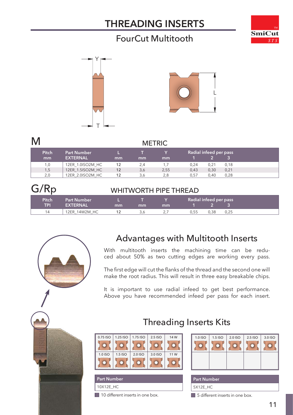#### FourCut Multitooth







| M            |                    |    |     | <b>METRIC</b> |      |                        |      |
|--------------|--------------------|----|-----|---------------|------|------------------------|------|
| <b>Pitch</b> | <b>Part Number</b> |    |     |               |      | Radial infeed per pass |      |
| mm           | <b>EXTERNAL</b>    | mm | mm  | mm            |      |                        |      |
| 1,0          | 12ER 1.0ISO2M HC   | 12 | 2.4 |               | 0.24 | 0.21                   | 0.18 |
| 1,5          | 12ER 1.5ISO2M HC   | 12 | 3,6 | 2,55          | 0,43 | 0,30                   | 0,21 |
| 2,0          | 12ER 2.0ISO2M HC   | 12 | 3,6 | 2,8           | 0.57 | 0.40                   | 0,28 |

#### G/Rp WHITWORTH PIPE THREAD **Part Number EXTERNAL L mm T mm Pitch TPI Y mm Radial infeed per pass 1 2 3**

| <b>Pitch</b> | <b>Part Number</b> |     |     |          |      | Radial infeed per pass |      |
|--------------|--------------------|-----|-----|----------|------|------------------------|------|
| TPI          | <b>EXTERNAL</b>    | mm  | mm  | mm       |      |                        |      |
| 14           | 12ER 14W2M HC      | . . | 3.0 | <u>.</u> | 0.55 | ე.38                   | 0.25 |



#### Advantages with Multitooth Inserts

With multitooth inserts the machining time can be reduced about 50% as two cutting edges are working every pass.

The first edge will cut the flanks of the thread and the second one will make the root radius. This will result in three easy breakable chips.

It is important to use radial infeed to get best performance. Above you have recommended infeed per pass for each insert.

Threading Inserts Kits



10X12E\_HC **Part Number** 

10 different inserts in one box.

#### 1.0 ISO 1.5 ISO 2.0 ISO 2.5 ISO 3.0 ISO  $\overline{\mathcal{O}}$  $\Omega$  $\overline{\circ}$  $\overline{\mathcal{O}}$  $\circ$

5X12E\_HC **Part Number** 

5 different inserts in one box.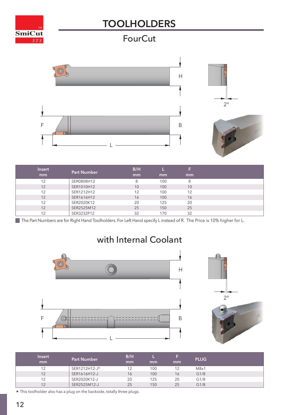#### **[TOOLHOLDERS](#page-2-0)**

<span id="page-11-0"></span>

#### **FourCut**





| <b>Insert</b> | <b>Part Number</b> | B/H |     | F  |  |
|---------------|--------------------|-----|-----|----|--|
| mm            |                    | mm  | mm  | mm |  |
| 12            | SER0808H12         | 8   | 100 | 8  |  |
| 12            | SER1010H12         | 10  | 100 | 10 |  |
| 12            | SER1212H12         | 12  | 100 | 12 |  |
| 12            | SER1616H12         | 16  | 100 | 16 |  |
| 12            | SER2020K12         | 20  | 125 | 20 |  |
| 12            | SER2525M12         | 25  | 150 | 25 |  |
| 12            | SER3232P12         | 32  | 170 | 32 |  |

The Part Numbers are for Right Hand Toolholders. For Left Hand specify Linstead of R. The Price is 10% higher for L.





| <b>Insert</b><br>mm | <b>Part Number</b> | B/H<br>mm | mm  | mm | <b>PLUG</b> |  |
|---------------------|--------------------|-----------|-----|----|-------------|--|
| 12                  | SER1212H12-J*      | 12        | 100 |    | M8x1        |  |
| 12                  | SER1616H12-J       | 16        | 100 | 16 | G1/8        |  |
| 12                  | SER2020K12-J       | 20        | 125 | 20 | G1/8        |  |
| 12                  | SER2525M12-J       | 25        | 150 | 25 | G1/8        |  |

\* This toolholder also has a plug on the backside, totally three plugs.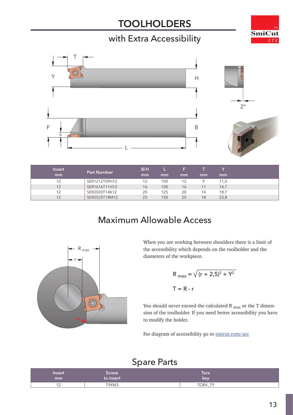#### **[TOOLHOLDERS](#page-2-0)**

#### with Extra Accessibility





r

R  $_{\sf max}$ 

 $\circledR$ 



| <b>Insert</b> | <b>Part Number</b> | B/H |     |    |    |      |
|---------------|--------------------|-----|-----|----|----|------|
| mm            |                    | mm  | mm  | mm | mm | mm   |
| 12            | SER1212T09H12      | 12  | 100 | 12 |    | 11.0 |
| 12            | SER1616T11H12      | 16  | 100 | 16 |    | 14,7 |
| 12            | SER2020T14K12      | 20  | 125 | 20 | 14 | 18,7 |
| 12            | SER2525T18M12      | 25  | 150 | 25 | 18 | 23,8 |

#### Maximum Allowable Access



$$
R_{\text{max}} = \sqrt{(r + 2.5)^2 + Y^2}
$$
  
T = R - r

You should never exceed the calculated R  $_{\text{max}}$  or the T dimension of the toolholder. If you need better accessibility you have to modify the holder.

For diagram of accessibility go to [smicut.com/acc](http://smicut.com/acc)

#### Spare Parts

| Insert     | Screw     | <b>Torx</b>                                        |  |
|------------|-----------|----------------------------------------------------|--|
| mm         | to insert | key                                                |  |
| . <u>.</u> | T9XM3     | TORX<br>T <sub>O</sub><br>$\overline{\phantom{a}}$ |  |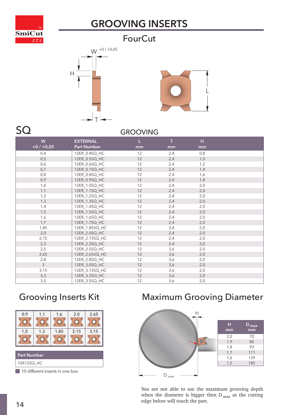<span id="page-13-0"></span>

### **[GROOVING INSERTS](#page-2-0)**

#### **FourCut**





#### SQ GROOVING

| W             | <b>EXTERNAL</b> | Ш  | $\mathbf{T}$ | н   |  |
|---------------|-----------------|----|--------------|-----|--|
| $+0/ +0.05$   | Part Number     | mm | mm           | mm  |  |
| 0,4           | 12ER_0.4SQ_HC   | 12 | 2,4          | 0,8 |  |
| 0, 5          | 12ER_0.5SQ_HC   | 12 | 2,4          | 1,0 |  |
| 0,6           | 12ER_0.6SQ_HC   | 12 | 2,4          | 1,2 |  |
| 0,7           | 12ER_0.7SQ_HC   | 12 | 2,4          | 1,4 |  |
| 0,8           | 12ER_0.8SQ_HC   | 12 | 2,4          | 1,6 |  |
| 0,9           | 12ER_0.9SQ_HC   | 12 | 2,4          | 1,8 |  |
| 1,0           | 12ER_1.0SQ_HC   | 12 | 2,4          | 2,0 |  |
| 1,1           | 12ER_1.1SQ_HC   | 12 | 2,4          | 2,0 |  |
| 1,2           | 12ER_1.2SQ_HC   | 12 | 2,4          | 2,0 |  |
| 1,3           | 12ER_1.3SQ_HC   | 12 | 2,4          | 2,0 |  |
| 1,4           | 12ER_1.4SQ_HC   | 12 | 2,4          | 2,0 |  |
| 1,5           | 12ER_1.5SQ_HC   | 12 | 2,4          | 2,0 |  |
| 1,6           | 12ER_1.6SQ_HC   | 12 | 2,4          | 2,0 |  |
| 1,7           | 12ER_1.7SQ_HC   | 12 | 2,4          | 2,0 |  |
| 1,85          | 12ER_1.85SQ_HC  | 12 | 2,4          | 2,0 |  |
| 2,0           | 12ER_2.0SQ_HC   | 12 | 2,4          | 2,0 |  |
| 2,15          | 12ER_2.15SQ_HC  | 12 | 2,4          | 2,0 |  |
| 2,3           | 12ER_2.3SQ_HC   | 12 | 2,4          | 2,0 |  |
| 2,5           | 12ER_2.5SQ_HC   | 12 | 3,6          | 2,0 |  |
| 2,65          | 12ER_2.65SQ_HC  | 12 | 3,6          | 2,0 |  |
| 2,8           | 12ER_2.8SQ_HC   | 12 | 3,6          | 2,0 |  |
| $\mathcal{E}$ | 12ER_3.0SQ_HC   | 12 | 3,6          | 2,0 |  |
| 3,15          | 12ER_3.15SQ_HC  | 12 | 3,6          | 2,0 |  |
| 3,3           | 12ER_3.3SQ_HC   | 12 | 3,6          | 2,0 |  |
| 3,5           | 12ER_3.5SQ_HC   | 12 | 3,6          | 2,0 |  |

#### Grooving Inserts Kit



10 different inserts in one box

#### Maximum Grooving Diameter



You are not able to use the maximum grooving depth when the diameter is bigger then  $D_{\text{max}}$  as the cutting edge below will touch the part.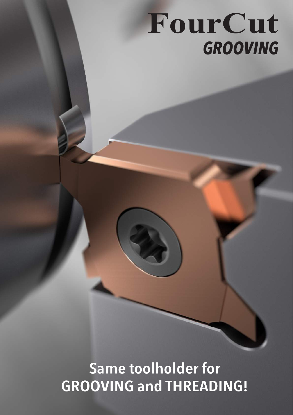## **FourCut**  *GROOVING*

**Same toolholder for GROOVING and THREADING!**